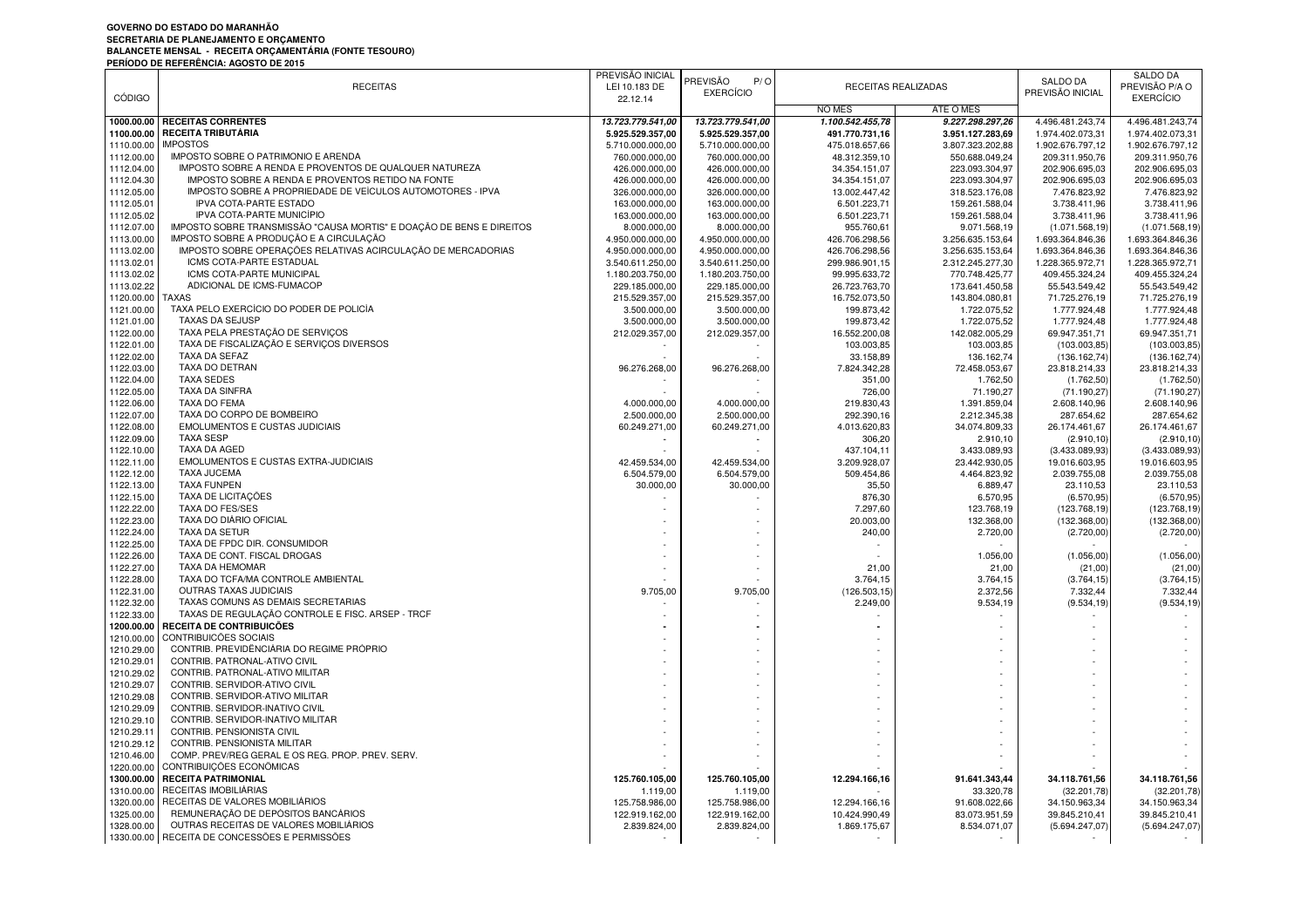## **GOVERNO DO ESTADO DO MARANHÃO**SECRETARIA DE PLANEJAMENTO E ORÇAMENTO<br>BALANCETE MENSAL - RECEITA ORÇAMENTÁRIA (FONTE TESOURO)<br>PERÍODO DE REFERÊNCIA: AGOSTO DE 2015

|               |                                                                      | PREVISÃO INICIAL  |                        |                  |                     |                  | SALDO DA         |
|---------------|----------------------------------------------------------------------|-------------------|------------------------|------------------|---------------------|------------------|------------------|
|               | <b>RECEITAS</b>                                                      | LEI 10.183 DE     | <b>PREVISÃO</b><br>P/O |                  | RECEITAS REALIZADAS | SALDO DA         | PREVISÃO P/A O   |
| <b>CÓDIGO</b> |                                                                      | 22.12.14          | <b>EXERCÍCIO</b>       |                  |                     | PREVISÃO INICIAL | <b>EXERCÍCIO</b> |
|               |                                                                      |                   |                        | <b>NO MËS</b>    | ATÉ O MÊS           |                  |                  |
|               | 1000.00.00 RECEITAS CORRENTES                                        | 13.723.779.541,00 | 13.723.779.541,00      | 1.100.542.455,78 | 9.227.298.297,26    | 4.496.481.243,74 | 4.496.481.243,74 |
| 1100.00.00    | <b>I RECEITA TRIBUTÁRIA</b>                                          | 5.925.529.357,00  | 5.925.529.357,00       | 491.770.731.16   | 3.951.127.283.69    | 1.974.402.073,31 | 1.974.402.073,31 |
| 1110.00.00    | <b>IMPOSTOS</b>                                                      | 5.710.000.000,00  | 5.710.000.000,00       | 475.018.657,66   | 3.807.323.202,88    | 1.902.676.797,12 | 1.902.676.797,12 |
| 1112.00.00    | IMPOSTO SOBRE O PATRIMONIO E ARENDA                                  | 760.000.000,00    | 760.000.000,00         | 48.312.359,10    | 550.688.049,24      | 209.311.950,76   | 209.311.950,76   |
| 1112.04.00    | IMPOSTO SOBRE A RENDA E PROVENTOS DE QUALQUER NATUREZA               | 426.000.000,00    | 426.000.000,00         | 34.354.151,07    | 223.093.304,97      | 202.906.695,03   | 202.906.695,03   |
| 1112.04.30    | IMPOSTO SOBRE A RENDA E PROVENTOS RETIDO NA FONTE                    | 426.000.000,00    | 426.000.000,00         | 34.354.151,07    | 223.093.304,97      | 202.906.695,03   | 202.906.695,03   |
| 1112.05.00    | IMPOSTO SOBRE A PROPRIEDADE DE VEÍCULOS AUTOMOTORES - IPVA           | 326.000.000,00    | 326.000.000,00         | 13.002.447,42    | 318.523.176,08      | 7.476.823,92     | 7.476.823,92     |
| 1112.05.01    | <b>IPVA COTA-PARTE ESTADO</b>                                        | 163.000.000,00    | 163.000.000,00         | 6.501.223,71     | 159.261.588,04      | 3.738.411,96     | 3.738.411,96     |
| 1112.05.02    | IPVA COTA-PARTE MUNICÍPIO                                            | 163.000.000,00    | 163.000.000,00         | 6.501.223,71     | 159.261.588,04      | 3.738.411,96     | 3.738.411,96     |
| 1112.07.00    | IMPOSTO SOBRE TRANSMISSÃO "CAUSA MORTIS" E DOAÇÃO DE BENS E DIREITOS | 8.000.000,00      | 8.000.000,00           | 955.760,61       | 9.071.568,19        | (1.071.568, 19)  | (1.071.568, 19)  |
| 1113.00.00    | IMPOSTO SOBRE A PRODUÇÃO E A CIRCULAÇÃO                              | 4.950.000.000,00  | 4.950.000.000,00       | 426.706.298,56   | 3.256.635.153,64    | 1.693.364.846,36 | 1.693.364.846,36 |
| 1113.02.00    | IMPOSTO SOBRE OPERAÇÕES RELATIVAS ACIRCULAÇÃO DE MERCADORIAS         | 4.950.000.000,00  | 4.950.000.000,00       | 426.706.298,56   | 3.256.635.153,64    | 1.693.364.846,36 | 1.693.364.846,36 |
| 1113.02.0     | ICMS COTA-PARTE ESTADUAL                                             | 3.540.611.250,00  | 3.540.611.250,00       | 299.986.901,15   | 2.312.245.277,30    | 1.228.365.972,71 | 1.228.365.972,71 |
| 1113.02.02    | ICMS COTA-PARTE MUNICIPAL                                            | 1.180.203.750,00  | 1.180.203.750,00       | 99.995.633,72    | 770.748.425,77      | 409.455.324,24   | 409.455.324,24   |
| 1113.02.22    | ADICIONAL DE ICMS-FUMACOP                                            | 229.185.000,00    | 229.185.000,00         | 26.723.763,70    | 173.641.450,58      | 55.543.549,42    | 55.543.549,42    |
| 1120.00.00    | <b>TAXAS</b>                                                         | 215.529.357,00    | 215.529.357,00         | 16.752.073,50    | 143.804.080,81      | 71.725.276,19    | 71.725.276,19    |
| 1121.00.00    | TAXA PELO EXERCÍCIO DO PODER DE POLICÍA                              | 3.500.000,00      | 3.500.000,00           | 199.873,42       | 1.722.075,52        | 1.777.924,48     | 1.777.924,48     |
| 1121.01.00    | <b>TAXAS DA SEJUSP</b>                                               | 3.500.000,00      | 3.500.000,00           | 199.873,42       | 1.722.075,52        | 1.777.924,48     | 1.777.924,48     |
| 1122.00.00    | TAXA PELA PRESTAÇÃO DE SERVIÇOS                                      | 212.029.357,00    | 212.029.357,00         | 16.552.200,08    | 142.082.005,29      | 69.947.351,71    | 69.947.351,71    |
| 1122.01.00    | TAXA DE FISCALIZAÇÃO E SERVIÇOS DIVERSOS                             |                   |                        | 103.003,85       | 103.003,85          | (103.003, 85)    | (103.003, 85)    |
| 1122.02.00    | TAXA DA SEFAZ                                                        |                   |                        | 33.158,89        | 136.162,74          | (136.162,74)     | (136.162,74)     |
| 1122.03.00    | TAXA DO DETRAN                                                       | 96.276.268,00     | 96.276.268,00          | 7.824.342,28     | 72.458.053,67       | 23.818.214,33    | 23.818.214,33    |
| 1122.04.00    | <b>TAXA SEDES</b>                                                    |                   |                        | 351,00           | 1.762,50            | (1.762, 50)      | (1.762, 50)      |
| 1122.05.00    | <b>TAXA DA SINFRA</b>                                                |                   |                        | 726,00           | 71.190,27           | (71.190.27       | (71.190, 27)     |
| 1122.06.00    | TAXA DO FEMA                                                         | 4.000.000.00      | 4.000.000,00           | 219.830,43       | 1.391.859,04        | 2.608.140,96     | 2.608.140,96     |
| 1122.07.00    | TAXA DO CORPO DE BOMBEIRO                                            | 2.500.000,00      | 2.500.000,00           | 292.390,16       | 2.212.345,38        | 287.654,62       | 287.654,62       |
| 1122.08.00    | EMOLUMENTOS E CUSTAS JUDICIAIS                                       | 60.249.271,00     | 60.249.271,00          | 4.013.620,83     | 34.074.809,33       | 26.174.461,67    | 26.174.461,67    |
| 1122.09.00    | <b>TAXA SESP</b>                                                     |                   |                        | 306,20           | 2.910,10            | (2.910, 10)      | (2.910, 10)      |
| 1122.10.00    | TAXA DA AGED                                                         |                   |                        | 437.104,11       | 3.433.089,93        | (3.433.089,93)   | (3.433.089, 93)  |
| 1122.11.00    | EMOLUMENTOS E CUSTAS EXTRA-JUDICIAIS                                 | 42.459.534,00     | 42.459.534,00          | 3.209.928,07     | 23.442.930,05       | 19.016.603,95    | 19.016.603,95    |
| 1122.12.00    | <b>TAXA JUCEMA</b>                                                   | 6.504.579,00      | 6.504.579,00           | 509.454,86       | 4.464.823,92        | 2.039.755,08     | 2.039.755,08     |
| 1122.13.00    | <b>TAXA FUNPEN</b>                                                   | 30.000,00         | 30.000,00              | 35,50            | 6.889,47            | 23.110,53        | 23.110,53        |
| 1122.15.00    | TAXA DE LICITAÇÕES                                                   |                   |                        | 876,30           | 6.570,95            | (6.570, 95)      | (6.570, 95)      |
| 1122.22.00    | TAXA DO FES/SES                                                      |                   |                        | 7.297,60         | 123.768,19          | (123.768,19      | (123.768,19      |
| 1122.23.00    | TAXA DO DIÁRIO OFICIAL                                               |                   |                        | 20.003,00        | 132.368,00          | (132.368,00)     | (132.368,00)     |
| 1122.24.00    | TAXA DA SETUR                                                        |                   |                        | 240,00           | 2.720,00            | (2.720,00)       | (2.720,00)       |
| 1122.25.00    | TAXA DE FPDC DIR. CONSUMIDOR                                         |                   |                        |                  |                     |                  |                  |
| 1122.26.00    | TAXA DE CONT. FISCAL DROGAS                                          |                   |                        |                  | 1.056,00            | (1.056, 00)      | (1.056, 00)      |
| 1122.27.00    | TAXA DA HEMOMAR                                                      |                   |                        | 21,00            | 21,00               | (21,00)          | (21,00)          |
| 1122.28.00    | TAXA DO TCFA/MA CONTROLE AMBIENTAL                                   |                   |                        | 3.764,15         | 3.764,15            | (3.764, 15)      | (3.764, 15)      |
| 1122.31.00    | OUTRAS TAXAS JUDICIAIS                                               | 9.705,00          | 9.705,00               | (126.503, 15)    | 2.372,56            | 7.332,44         | 7.332,44         |
| 1122.32.00    | TAXAS COMUNS ÀS DEMAIS SECRETARIAS                                   |                   |                        | 2.249,00         | 9.534,19            | (9.534, 19)      | (9.534, 19)      |
| 1122.33.00    | TAXAS DE REGULAÇÃO CONTROLE E FISC. ARSEP - TRCF                     |                   |                        |                  |                     |                  |                  |
| 1200.00.00    | <b>RECEITA DE CONTRIBUICÕES</b>                                      |                   |                        |                  |                     |                  |                  |
| 1210.00.00    | CONTRIBUICÕES SOCIAIS                                                |                   |                        |                  |                     |                  |                  |
| 1210.29.00    | CONTRIB. PREVIDÊNCIÁRIA DO REGIME PRÓPRIO                            |                   |                        |                  |                     |                  |                  |
| 1210.29.01    | CONTRIB. PATRONAL-ATIVO CIVIL                                        |                   |                        |                  |                     |                  |                  |
| 1210.29.02    | CONTRIB. PATRONAL-ATIVO MILITAR                                      |                   |                        |                  |                     |                  |                  |
| 1210.29.07    | CONTRIB. SERVIDOR-ATIVO CIVIL                                        |                   |                        |                  |                     |                  |                  |
| 1210.29.08    | CONTRIB. SERVIDOR-ATIVO MILITAR                                      |                   |                        |                  |                     |                  |                  |
| 1210.29.09    | CONTRIB. SERVIDOR-INATIVO CIVIL                                      |                   |                        |                  |                     |                  |                  |
| 1210.29.10    | CONTRIB. SERVIDOR-INATIVO MILITAR                                    |                   |                        |                  |                     |                  |                  |
| 1210.29.11    | CONTRIB. PENSIONISTA CIVIL                                           |                   |                        |                  |                     |                  |                  |
| 1210.29.12    | CONTRIB. PENSIONISTA MILITAR                                         |                   |                        |                  |                     |                  |                  |
| 1210.46.00    | COMP. PREV/REG GERAL E OS REG. PROP. PREV. SERV.                     |                   |                        |                  |                     |                  |                  |
| 1220.00.00    | CONTRIBUIÇÕES ECONÔMICAS                                             |                   |                        |                  |                     |                  |                  |
| 1300.00.00    | <b>RECEITA PATRIMONIAL</b>                                           | 125.760.105,00    | 125.760.105,00         | 12.294.166,16    | 91.641.343,44       | 34.118.761,56    | 34.118.761,56    |
| 1310.00.00    | RECEITAS IMOBILIÁRIAS                                                | 1.119,00          | 1.119,00               |                  | 33.320,78           | (32.201,78       | (32.201,78)      |
| 1320.00.00    | RECEITAS DE VALORES MOBILIARIOS                                      | 125.758.986,00    | 125.758.986,00         | 12.294.166,16    | 91.608.022,66       | 34.150.963,34    | 34.150.963,34    |
| 1325.00.00    | REMUNERAÇÃO DE DEPÓSITOS BANCÁRIOS                                   | 122.919.162,00    | 122.919.162,00         | 10.424.990,49    | 83.073.951,59       | 39.845.210,41    | 39.845.210,41    |
| 1328.00.00    | OUTRAS RECEITAS DE VALORES MOBILIÁRIOS                               | 2.839.824,00      | 2.839.824,00           | 1.869.175,67     | 8.534.071,07        | (5.694.247,07)   | (5.694.247,07)   |
|               | 1330.00.00 RECEITA DE CONCESSÕES E PERMISSÕES                        | $\sim$            | $\sim$                 | $\sim$           | $\sim$              |                  |                  |
|               |                                                                      |                   |                        |                  |                     |                  |                  |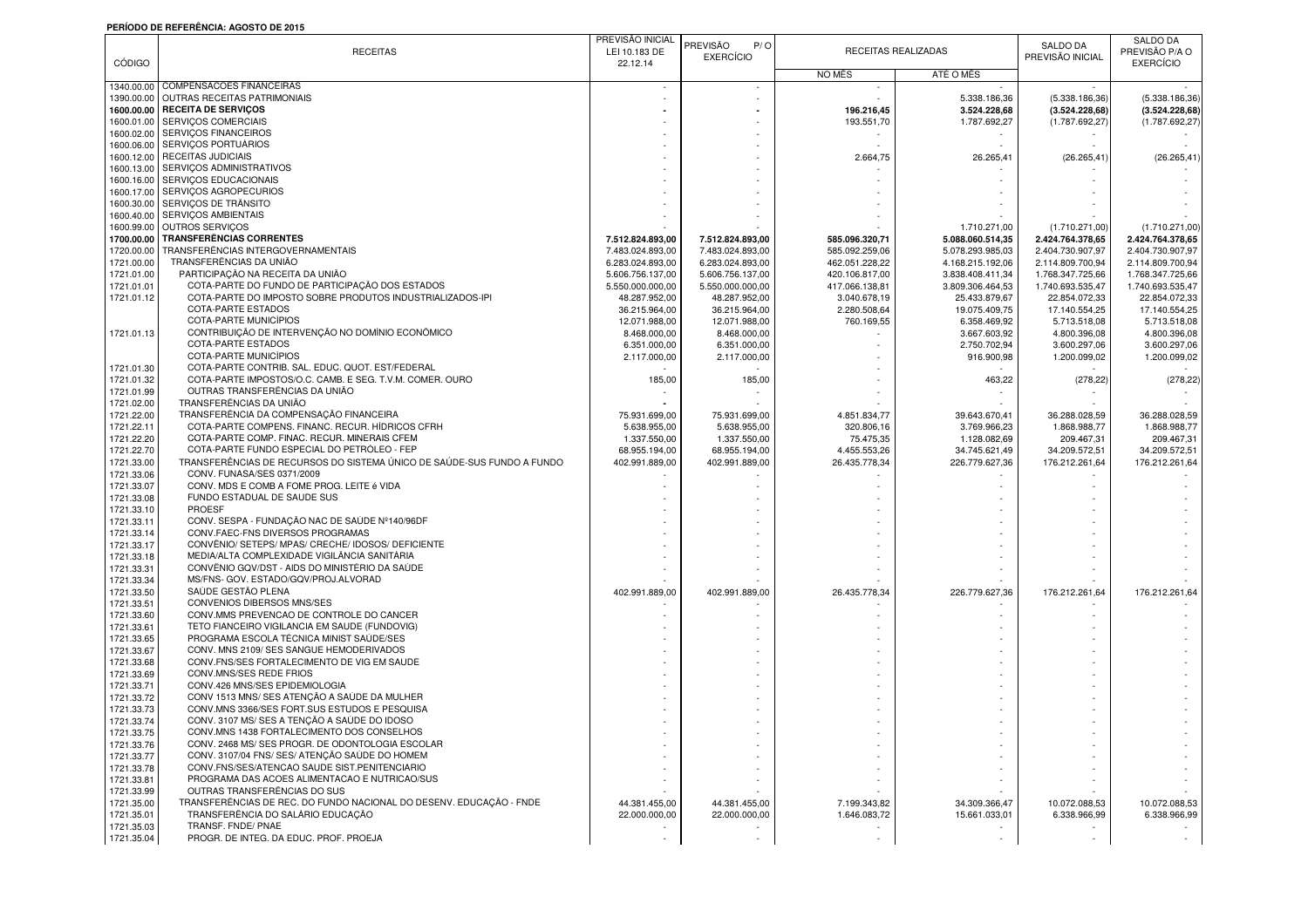## **PERÍODO DE REFERÊNCIA: AGOSTO DE 2015**

|               |                                                                        | PREVISÃO INICIAL |                        |                |                     |                  | <b>SALDO DA</b>  |
|---------------|------------------------------------------------------------------------|------------------|------------------------|----------------|---------------------|------------------|------------------|
|               | <b>RECEITAS</b>                                                        | LEI 10.183 DE    | <b>PREVISÃO</b><br>P/O |                | RECEITAS REALIZADAS | <b>SALDO DA</b>  | PREVISÃO P/A O   |
| <b>CÓDIGO</b> |                                                                        | 22.12.14         | <b>EXERCÍCIO</b>       |                |                     | PREVISÃO INICIAL | <b>EXERCÍCIO</b> |
|               |                                                                        |                  |                        | NO MËS         | ATÉ O MËS           |                  |                  |
|               | 1340.00.00 COMPENSACÕES FINANCEIRAS                                    |                  |                        |                |                     |                  |                  |
| 1390.00.00    | OUTRAS RECEITAS PATRIMONIAIS                                           |                  |                        |                | 5.338.186,36        | (5.338.186, 36)  | (5.338.186, 36)  |
|               |                                                                        |                  |                        |                |                     |                  |                  |
|               | 1600.00.00 RECEITA DE SERVIÇOS                                         |                  |                        | 196.216.45     | 3.524.228,68        | (3.524.228, 68)  | (3.524.228, 68)  |
| 1600.01.00    | SERVIÇOS COMERCIAIS                                                    |                  |                        | 193.551,70     | 1.787.692,27        | (1.787.692, 27)  | (1.787.692, 27   |
| 1600.02.00    | SERVIÇOS FINANCEIROS                                                   |                  |                        |                |                     |                  |                  |
| 1600.06.00    | SERVIÇOS PORTUARIOS                                                    |                  |                        |                |                     |                  |                  |
|               | 1600.12.00 RECEITAS JUDICIAIS                                          |                  |                        | 2.664,75       | 26.265,41           | (26.265, 41)     | (26.265, 41)     |
| 1600.13.00    | <b>SERVICOS ADMINISTRATIVOS</b>                                        |                  |                        |                |                     |                  |                  |
|               | 1600.16.00 SERVIÇOS EDUCACIONAIS                                       |                  |                        |                |                     |                  |                  |
|               | 1600.17.00 SERVIÇOS AGROPECURIOS                                       |                  |                        |                |                     |                  |                  |
| 1600.30.00    | SERVIÇOS DE TRÂNSITO                                                   |                  |                        |                |                     |                  |                  |
|               | 1600.40.00 SERVIÇOS AMBIENTAIS                                         |                  |                        |                |                     |                  |                  |
|               | 1600.99.00 OUTROS SERVIÇOS                                             |                  |                        |                | 1.710.271,00        | (1.710.271,00)   | (1.710.271,00    |
| 1700.00.00    | <b>TRANSFERÊNCIAS CORRENTES</b>                                        | 7.512.824.893.00 | 7.512.824.893,00       | 585.096.320,71 | 5.088.060.514.35    | 2.424.764.378,65 | 2.424.764.378.65 |
| 1720.00.00    | TRANSFERÊNCIAS INTERGOVERNAMENTAIS                                     | 7.483.024.893,00 | 7.483.024.893,00       | 585.092.259,06 | 5.078.293.985,03    | 2.404.730.907,97 | 2.404.730.907,97 |
| 1721.00.00    | TRANSFERÊNCIAS DA UNIÃO                                                | 6.283.024.893,00 | 6.283.024.893,00       | 462.051.228,22 | 4.168.215.192,06    | 2.114.809.700,94 | 2.114.809.700,94 |
| 1721.01.00    | PARTICIPAÇÃO NA RECEITA DA UNIÃO                                       | 5.606.756.137,00 | 5.606.756.137,00       | 420.106.817,00 | 3.838.408.411,34    | 1.768.347.725,66 | 1.768.347.725,66 |
| 1721.01.01    | COTA-PARTE DO FUNDO DE PARTICIPAÇÃO DOS ESTADOS                        | 5.550.000.000,00 | 5.550.000.000,00       | 417.066.138,81 | 3.809.306.464,53    | 1.740.693.535,47 | 1.740.693.535,47 |
| 1721.01.12    | COTA-PARTE DO IMPOSTO SOBRE PRODUTOS INDUSTRIALIZADOS-IPI              |                  |                        |                |                     |                  |                  |
|               |                                                                        | 48.287.952,00    | 48.287.952,00          | 3.040.678,19   | 25.433.879,67       | 22.854.072,33    | 22.854.072,33    |
|               | COTA-PARTE ESTADOS<br>COTA-PARTE MUNICÍPIOS                            | 36.215.964,00    | 36.215.964,00          | 2.280.508,64   | 19.075.409,75       | 17.140.554,25    | 17.140.554,25    |
|               |                                                                        | 12.071.988,00    | 12.071.988,00          | 760.169,55     | 6.358.469,92        | 5.713.518,08     | 5.713.518,08     |
| 1721.01.13    | CONTRIBUIÇÃO DE INTERVENÇÃO NO DOMÍNIO ECONÔMICO                       | 8.468.000,00     | 8.468.000,00           |                | 3.667.603,92        | 4.800.396,08     | 4.800.396,08     |
|               | COTA-PARTE ESTADOS                                                     | 6.351.000,00     | 6.351.000,00           |                | 2.750.702,94        | 3.600.297,06     | 3.600.297,06     |
|               | COTA-PARTE MUNICÍPIOS                                                  | 2.117.000,00     | 2.117.000,00           |                | 916.900,98          | 1.200.099,02     | 1.200.099,02     |
| 1721.01.30    | COTA-PARTE CONTRIB. SAL. EDUC. QUOT. EST/FEDERAL                       |                  |                        |                |                     |                  |                  |
| 1721.01.32    | COTA-PARTE IMPOSTOS/O.C. CAMB. E SEG. T.V.M. COMER. OURO               | 185,00           | 185,00                 |                | 463,22              | (278, 22)        | (278, 22)        |
| 1721.01.99    | OUTRAS TRANSFERÊNCIAS DA UNIÃO                                         |                  |                        |                |                     |                  |                  |
| 1721.02.00    | TRANSFERÊNCIAS DA UNIÃO                                                |                  |                        |                |                     |                  |                  |
| 1721.22.00    | TRANSFERÊNCIA DA COMPENSAÇÃO FINANCEIRA                                | 75.931.699,00    | 75.931.699,00          | 4.851.834,77   | 39.643.670,41       | 36.288.028,59    | 36.288.028,59    |
| 1721.22.11    | COTA-PARTE COMPENS. FINANC. RECUR. HÍDRICOS CFRH                       | 5.638.955,00     | 5.638.955,00           | 320.806,16     | 3.769.966,23        | 1.868.988,77     | 1.868.988,77     |
| 1721.22.20    | COTA-PARTE COMP. FINAC. RECUR. MINERAIS CFEM                           | 1.337.550,00     | 1.337.550,00           | 75.475,35      | 1.128.082,69        | 209.467,31       | 209.467,31       |
| 1721.22.70    | COTA-PARTE FUNDO ESPECIAL DO PETRÓLEO - FEP                            | 68.955.194,00    | 68.955.194,00          | 4.455.553,26   | 34.745.621,49       | 34.209.572,51    | 34.209.572,51    |
| 1721.33.00    | TRANSFERÊNCIAS DE RECURSOS DO SISTEMA ÚNICO DE SAÚDE-SUS FUNDO A FUNDO | 402.991.889,00   | 402.991.889,00         | 26.435.778,34  | 226.779.627,36      | 176.212.261,64   | 176.212.261,64   |
| 1721.33.06    | CONV. FUNASA/SES 0371/2009                                             |                  |                        |                |                     |                  |                  |
|               |                                                                        |                  |                        |                |                     |                  |                  |
| 1721.33.07    | CONV. MDS E COMB A FOME PROG. LEITE é VIDA                             |                  |                        |                |                     |                  |                  |
| 1721.33.08    | FUNDO ESTADUAL DE SAUDE SUS                                            |                  |                        |                |                     |                  |                  |
| 1721.33.10    | <b>PROESF</b>                                                          |                  |                        |                |                     |                  |                  |
| 1721.33.11    | CONV. SESPA - FUNDAÇÃO NAC DE SAÚDE Nº140/96DF                         |                  |                        |                |                     |                  |                  |
| 1721.33.14    | CONV.FAEC-FNS DIVERSOS PROGRAMAS                                       |                  |                        |                |                     |                  |                  |
| 1721.33.17    | CONVÊNIO/ SETEPS/ MPAS/ CRECHE/ IDOSOS/ DEFICIENTE                     |                  |                        |                |                     |                  |                  |
| 1721.33.18    | MEDIA/ALTA COMPLEXIDADE VIGILÂNCIA SANITÁRIA                           |                  |                        |                |                     |                  |                  |
| 1721.33.31    | CONVÊNIO GQV/DST - AIDS DO MINISTÉRIO DA SAÚDE                         |                  |                        |                |                     |                  |                  |
| 1721.33.34    | MS/FNS- GOV. ESTADO/GQV/PROJ.ALVORAD                                   |                  |                        |                |                     |                  |                  |
| 1721.33.50    | SAÚDE GESTÃO PLENA                                                     | 402.991.889,00   | 402.991.889,00         | 26.435.778,34  | 226.779.627,36      | 176.212.261,64   | 176.212.261,64   |
| 1721.33.51    | CONVENIOS DIBERSOS MNS/SES                                             |                  |                        |                |                     |                  |                  |
| 1721.33.60    | CONV.MMS PREVENCAO DE CONTROLE DO CANCER                               |                  |                        |                |                     |                  |                  |
| 1721.33.61    | TETO FIANCEIRO VIGILANCIA EM SAUDE (FUNDOVIG)                          |                  |                        |                |                     |                  |                  |
| 1721.33.65    | PROGRAMA ESCOLA TÉCNICA MINIST SAÚDE/SES                               |                  |                        |                |                     |                  |                  |
| 1721.33.67    | CONV. MNS 2109/ SES SANGUE HEMODERIVADOS                               |                  |                        |                |                     |                  |                  |
| 1721.33.68    | CONV.FNS/SES FORTALECIMENTO DE VIG EM SAUDE                            |                  |                        |                |                     |                  |                  |
|               | CONV.MNS/SES REDE FRIOS                                                |                  |                        |                |                     |                  |                  |
| 1721.33.69    |                                                                        |                  |                        |                |                     |                  |                  |
| 1721.33.71    | CONV.426 MNS/SES EPIDEMIOLOGIA                                         |                  |                        |                |                     |                  |                  |
| 1721.33.72    | CONV 1513 MNS/ SES ATENÇÃO A SAÚDE DA MULHER                           |                  |                        |                |                     |                  |                  |
| 1721.33.73    | CONV.MNS 3366/SES FORT.SUS ESTUDOS E PESQUISA                          |                  |                        |                |                     |                  |                  |
| 1721.33.74    | CONV. 3107 MS/ SES A TENÇÃO A SAÚDE DO IDOSO                           |                  |                        |                |                     |                  |                  |
| 1721.33.75    | CONV.MNS 1438 FORTALECIMENTO DOS CONSELHOS                             |                  |                        |                |                     |                  |                  |
| 1721.33.76    | CONV. 2468 MS/ SES PROGR. DE ODONTOLOGIA ESCOLAR                       |                  |                        |                |                     |                  |                  |
| 1721.33.77    | CONV. 3107/04 FNS/ SES/ ATENÇÃO SAÚDE DO HOMEM                         |                  |                        |                |                     |                  |                  |
| 1721.33.78    | CONV.FNS/SES/ATENCAO SAUDE SIST.PENITENCIARIO                          |                  |                        |                |                     |                  |                  |
| 1721.33.81    | PROGRAMA DAS ACOES ALIMENTACAO E NUTRICAO/SUS                          |                  |                        |                |                     |                  |                  |
| 1721.33.99    | OUTRAS TRANSFERÊNCIAS DO SUS                                           |                  |                        |                |                     |                  |                  |
| 1721.35.00    | TRANSFERÊNCIAS DE REC. DO FUNDO NACIONAL DO DESENV. EDUCAÇÃO - FNDE    | 44.381.455,00    | 44.381.455,00          | 7.199.343,82   | 34.309.366,47       | 10.072.088,53    | 10.072.088,53    |
| 1721.35.01    | TRANSFERÊNCIA DO SALÁRIO EDUCAÇÃO                                      | 22.000.000,00    | 22.000.000,00          | 1.646.083,72   | 15.661.033,01       | 6.338.966,99     | 6.338.966,99     |
| 1721.35.03    | TRANSF. FNDE/ PNAE                                                     |                  |                        |                |                     |                  |                  |
| 1721.35.04    | PROGR. DE INTEG. DA EDUC. PROF. PROEJA                                 |                  |                        |                |                     |                  |                  |
|               |                                                                        |                  |                        |                |                     |                  |                  |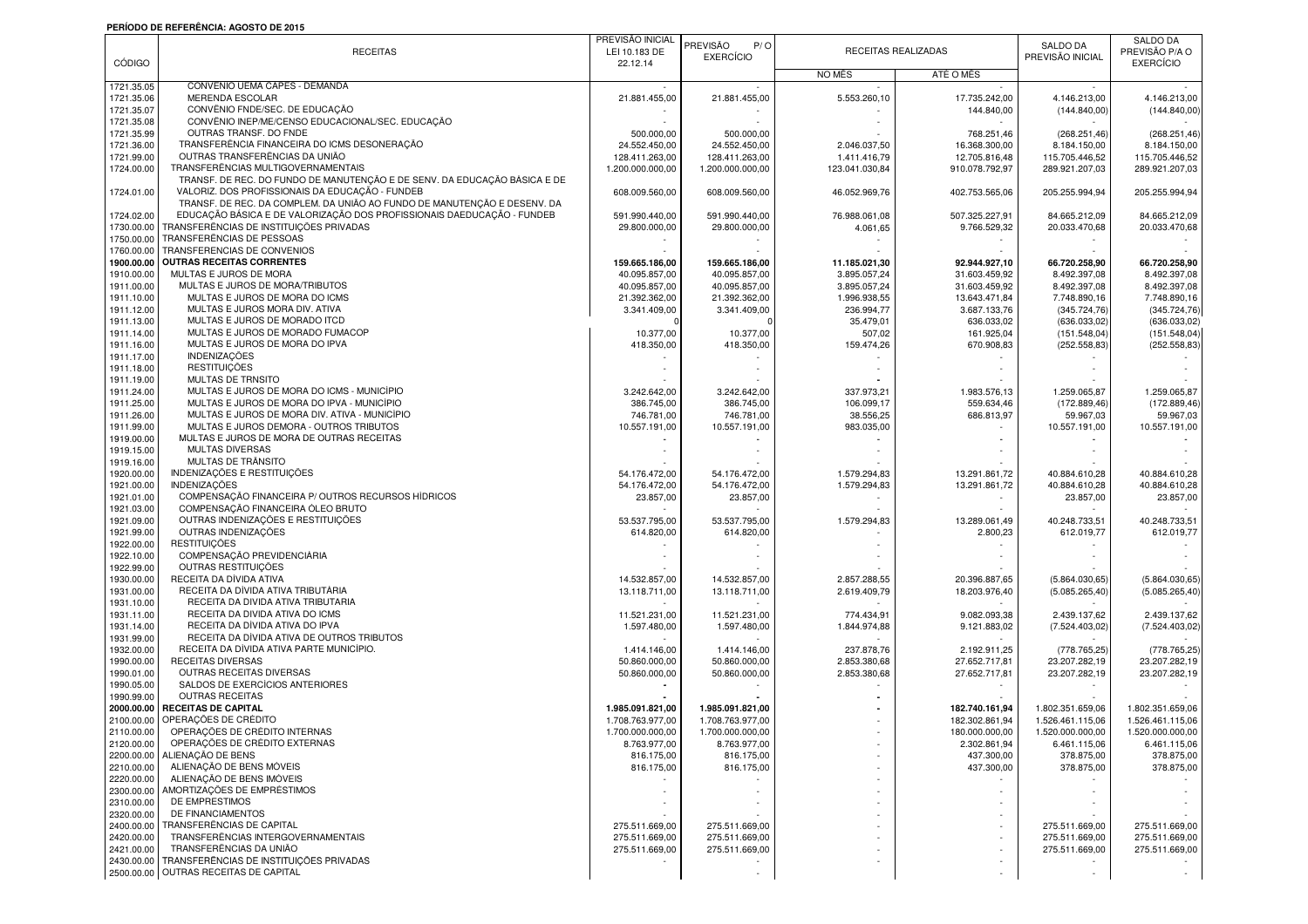## **PERÍODO DE REFERÊNCIA: AGOSTO DE 2015**

|               |                                                                           | PREVISÃO INICIAL |                  |                |                     |                  | <b>SALDO DA</b>  |
|---------------|---------------------------------------------------------------------------|------------------|------------------|----------------|---------------------|------------------|------------------|
|               | <b>RECEITAS</b>                                                           | LEI 10.183 DE    | PREVISÃO<br>P/O  |                | RECEITAS REALIZADAS | <b>SALDO DA</b>  | PREVISÃO P/A O   |
| <b>CÓDIGO</b> |                                                                           | 22.12.14         | <b>EXERCÍCIO</b> |                |                     | PREVISÃO INICIAL | <b>EXERCÍCIO</b> |
|               |                                                                           |                  |                  | <b>NO MËS</b>  | ATÉ O MÊS           |                  |                  |
| 1721.35.05    | CONVÊNIO UEMA CAPES - DEMANDA                                             |                  |                  |                |                     |                  |                  |
| 1721.35.06    | MERENDA ESCOLAR                                                           | 21.881.455,00    | 21.881.455,00    | 5.553.260,10   | 17.735.242,00       | 4.146.213,00     | 4.146.213,00     |
| 1721.35.07    | CONVÊNIO FNDE/SEC. DE EDUCAÇÃO                                            |                  |                  |                | 144.840.00          | (144.840,00)     | (144.840,00)     |
| 1721.35.08    | CONVÊNIO INEP/ME/CENSO EDUCACIONAL/SEC. EDUCAÇÃO                          |                  |                  |                |                     |                  |                  |
| 1721.35.99    | OUTRAS TRANSF. DO FNDE                                                    | 500.000,00       | 500.000,00       |                | 768.251,46          | (268.251, 46)    | (268.251, 46)    |
| 1721.36.00    | TRANSFERÊNCIA FINANCEIRA DO ICMS DESONERAÇÃO                              | 24.552.450.00    | 24.552.450,00    | 2.046.037.50   | 16.368.300,00       | 8.184.150,00     | 8.184.150,00     |
| 1721.99.00    | OUTRAS TRANSFERÊNCIAS DA UNIÃO                                            | 128.411.263,00   | 128.411.263,00   | 1.411.416,79   | 12.705.816,48       | 115.705.446,52   | 115.705.446,52   |
| 1724.00.00    | TRANSFERÊNCIAS MULTIGOVERNAMENTAIS                                        | 1.200.000.000,00 | 1.200.000.000,00 | 123.041.030,84 | 910.078.792,97      | 289.921.207,03   | 289.921.207,03   |
|               | TRANSF. DE REC. DO FUNDO DE MANUTENÇÃO E DE SENV. DA EDUCAÇÃO BÁSICA E DE |                  |                  |                |                     |                  |                  |
| 1724.01.00    | VALORIZ. DOS PROFISSIONAIS DA EDUCAÇÃO - FUNDEB                           | 608.009.560,00   | 608.009.560,00   | 46.052.969,76  | 402.753.565,06      | 205.255.994,94   | 205.255.994.94   |
|               | TRANSF. DE REC. DA COMPLEM. DA UNIÃO AO FUNDO DE MANUTENÇÃO E DESENV. DA  |                  |                  |                |                     |                  |                  |
| 1724.02.00    | EDUCAÇÃO BÁSICA E DE VALORIZAÇÃO DOS PROFISSIONAIS DAEDUCAÇÃO - FUNDEB    | 591.990.440,00   | 591.990.440,00   | 76.988.061,08  | 507.325.227,91      | 84.665.212,09    | 84.665.212,09    |
| 1730.00.00    | TRANSFERÊNCIAS DE INSTITUIÇÕES PRIVADAS                                   | 29.800.000,00    | 29.800.000,00    | 4.061,65       | 9.766.529,32        | 20.033.470,68    | 20.033.470,68    |
| 1750.00.00    | TRANSFERÊNCIAS DE PESSOAS                                                 |                  |                  |                |                     |                  |                  |
| 1760.00.00    | TRANSFERENCIAS DE CONVENIOS                                               |                  |                  |                |                     |                  |                  |
| 1900.00.00    | <b>OUTRAS RECEITAS CORRENTES</b>                                          | 159.665.186,00   | 159.665.186,00   | 11.185.021,30  | 92.944.927,10       | 66.720.258,90    | 66.720.258,90    |
| 1910.00.00    | MULTAS E JUROS DE MORA                                                    | 40.095.857,00    | 40.095.857,00    | 3.895.057,24   | 31.603.459,92       | 8.492.397,08     | 8.492.397,08     |
| 1911.00.00    | MULTAS E JUROS DE MORA/TRIBUTOS                                           | 40.095.857,00    | 40.095.857,00    | 3.895.057,24   | 31.603.459,92       | 8.492.397,08     | 8.492.397,08     |
| 1911.10.00    | MULTAS E JUROS DE MORA DO ICMS                                            | 21.392.362,00    | 21.392.362,00    | 1.996.938,55   | 13.643.471,84       | 7.748.890,16     | 7.748.890,16     |
| 1911.12.00    | MULTAS E JUROS MORA DIV. ATIVA                                            | 3.341.409,00     | 3.341.409,00     | 236.994,77     | 3.687.133,76        | (345.724,76)     | (345.724, 76)    |
| 1911.13.00    | MULTAS E JUROS DE MORADO ITCD                                             |                  |                  | 35.479,01      | 636.033,02          | (636.033,02)     | (636.033,02)     |
| 1911.14.00    | MULTAS E JUROS DE MORADO FUMACOP                                          | 10.377,00        | 10.377,00        | 507,02         | 161.925,04          |                  |                  |
|               | MULTAS E JUROS DE MORA DO IPVA                                            |                  |                  |                |                     | (151.548,04)     | (151.548,04)     |
| 1911.16.00    |                                                                           | 418.350,00       | 418.350,00       | 159.474,26     | 670.908,83          | (252.558, 83)    | (252.558, 83)    |
| 1911.17.00    | INDENIZAÇÕES                                                              |                  |                  |                |                     |                  |                  |
| 1911.18.00    | <b>RESTITUICÕES</b>                                                       |                  |                  |                |                     |                  |                  |
| 1911.19.00    | MULTAS DE TRNSITO                                                         |                  |                  |                |                     |                  |                  |
| 1911.24.00    | MULTAS E JUROS DE MORA DO ICMS - MUNICÍPIO                                | 3.242.642,00     | 3.242.642,00     | 337.973,21     | 1.983.576,13        | 1.259.065,87     | 1.259.065,87     |
| 1911.25.00    | MULTAS E JUROS DE MORA DO IPVA - MUNICÍPIO                                | 386,745.00       | 386.745.00       | 106.099,17     | 559.634,46          | (172.889, 46)    | (172.889,46)     |
| 1911.26.00    | MULTAS E JUROS DE MORA DIV. ATIVA - MUNICÍPIO                             | 746.781,00       | 746.781,00       | 38.556,25      | 686.813,97          | 59.967,03        | 59.967,03        |
| 1911.99.00    | MULTAS E JUROS DEMORA - OUTROS TRIBUTOS                                   | 10.557.191,00    | 10.557.191,00    | 983.035,00     |                     | 10.557.191,00    | 10.557.191,00    |
| 1919.00.00    | MULTAS E JUROS DE MORA DE OUTRAS RECEITAS                                 |                  |                  |                |                     |                  |                  |
| 1919.15.00    | MULTAS DIVERSAS                                                           |                  |                  |                |                     |                  |                  |
| 1919.16.00    | MULTAS DE TRÂNSITO                                                        |                  |                  |                |                     |                  |                  |
| 1920.00.00    | INDENIZAÇÕES E RESTITUIÇÕES                                               | 54.176.472,00    | 54.176.472,00    | 1.579.294,83   | 13.291.861,72       | 40.884.610.28    | 40.884.610,28    |
| 1921.00.00    | <b>INDENIZAÇÕES</b>                                                       | 54.176.472,00    | 54.176.472,00    | 1.579.294,83   | 13.291.861,72       | 40.884.610,28    | 40.884.610,28    |
| 1921.01.00    | COMPENSAÇÃO FINANCEIRA P/ OUTROS RECURSOS HÍDRICOS                        | 23.857,00        | 23.857,00        |                |                     | 23.857,00        | 23.857,00        |
| 1921.03.00    | COMPENSAÇÃO FINANCEIRA ÓLEO BRUTO                                         |                  |                  |                |                     |                  |                  |
| 1921.09.00    | OUTRAS INDENIZAÇÕES E RESTITUIÇÕES                                        | 53.537.795,00    | 53.537.795,00    | 1.579.294,83   | 13.289.061,49       | 40.248.733,51    | 40.248.733,51    |
| 1921.99.00    | OUTRAS INDENIZAÇÕES                                                       | 614.820,00       | 614.820,00       |                | 2.800,23            | 612.019,77       | 612.019,77       |
| 1922.00.00    | <b>RESTITUICÕES</b>                                                       |                  |                  |                |                     |                  |                  |
| 1922.10.00    | COMPENSAÇÃO PREVIDENCIÁRIA                                                |                  |                  |                |                     |                  |                  |
| 1922.99.00    | OUTRAS RESTITUICÕES                                                       |                  |                  |                |                     |                  |                  |
| 1930.00.00    | RECEITA DA DÍVIDA ATIVA                                                   | 14.532.857,00    | 14.532.857,00    | 2.857.288,55   | 20.396.887,65       | (5.864.030, 65)  | (5.864.030, 65)  |
| 1931.00.00    | RECEITA DA DÍVIDA ATIVA TRIBUTÁRIA                                        | 13.118.711,00    | 13.118.711,00    | 2.619.409,79   | 18.203.976,40       | (5.085.265, 40)  | (5.085.265, 40)  |
| 1931.10.00    | RECEITA DA DÍVIDA ATIVA TRIBUTARIA                                        |                  |                  |                |                     |                  |                  |
| 1931.11.00    | RECEITA DA DIVIDA ATIVA DO ICMS                                           | 11.521.231,00    | 11.521.231,00    | 774.434,91     | 9.082.093,38        | 2.439.137,62     | 2.439.137,62     |
| 1931.14.00    | RECEITA DA DÍVIDA ATIVA DO IPVA                                           | 1.597.480,00     | 1.597.480,00     | 1.844.974,88   | 9.121.883,02        | (7.524.403,02)   | (7.524.403,02)   |
| 1931.99.00    | RECEITA DA DÍVIDA ATIVA DE OUTROS TRIBUTOS                                |                  |                  |                |                     |                  |                  |
| 1932.00.00    | RECEITA DA DÍVIDA ATIVA PARTE MUNICÍPIO.                                  | 1.414.146,00     | 1.414.146,00     | 237.878,76     | 2.192.911,25        | (778.765, 25)    | (778.765, 25)    |
| 1990.00.00    | RECEITAS DIVERSAS                                                         | 50.860.000,00    | 50.860.000,00    | 2.853.380,68   | 27.652.717,81       | 23.207.282,19    | 23.207.282,19    |
| 1990.01.00    | OUTRAS RECEITAS DIVERSAS                                                  | 50.860.000,00    | 50.860.000,00    | 2.853.380,68   | 27.652.717,81       | 23.207.282,19    | 23.207.282,19    |
| 1990.05.00    | SALDOS DE EXERCÍCIOS ANTERIORES                                           |                  |                  |                |                     |                  |                  |
| 1990.99.00    | <b>OUTRAS RECEITAS</b>                                                    |                  |                  |                |                     |                  |                  |
| 2000.00.00    | RECEITAS DE CAPITAL                                                       | 1.985.091.821.00 | 1.985.091.821,00 |                | 182.740.161.94      | 1.802.351.659,06 | 1.802.351.659,06 |
| 2100.00.00    | OPERAÇÕES DE CRÉDITO                                                      | 1.708.763.977,00 | 1.708.763.977,00 |                | 182.302.861,94      | 1.526.461.115,06 | 1.526.461.115,06 |
| 2110.00.00    | OPERAÇÕES DE CRÉDITO INTERNAS                                             | 1.700.000.000,00 | 1.700.000.000,00 |                | 180.000.000,00      | 1.520.000.000,00 | 1.520.000.000,00 |
| 2120.00.00    | OPERAÇÕES DE CRÉDITO EXTERNAS                                             | 8.763.977,00     | 8.763.977,00     |                | 2.302.861,94        | 6.461.115,06     | 6.461.115,06     |
| 2200.00.00    | ALIENAÇÃO DE BENS                                                         | 816.175,00       | 816.175,00       |                | 437.300,00          | 378.875,00       | 378.875,00       |
| 2210.00.00    | ALIENAÇÃO DE BENS MÓVEIS                                                  | 816.175,00       | 816.175,00       |                | 437.300,00          | 378.875,00       | 378.875,00       |
| 2220.00.00    | ALIENACÃO DE BENS IMÓVEIS                                                 |                  |                  |                |                     |                  |                  |
|               | AMORTIZACÕES DE EMPRÉSTIMOS                                               |                  |                  |                |                     |                  |                  |
| 2300.00.00    | DE EMPRESTIMOS                                                            |                  |                  |                |                     |                  |                  |
| 2310.00.00    | DE FINANCIAMENTOS                                                         |                  |                  |                |                     |                  |                  |
| 2320.00.00    |                                                                           |                  |                  |                |                     |                  |                  |
| 2400.00.00    | TRANSFERÊNCIAS DE CAPITAL                                                 | 275.511.669,00   | 275.511.669,00   |                |                     | 275.511.669,00   | 275.511.669,00   |
| 2420.00.00    | TRANSFERÊNCIAS INTERGOVERNAMENTAIS                                        | 275.511.669,00   | 275.511.669,00   |                |                     | 275.511.669,00   | 275.511.669,00   |
| 2421.00.00    | TRANSFERÊNCIAS DA UNIÃO                                                   | 275.511.669,00   | 275.511.669,00   |                |                     | 275.511.669,00   | 275.511.669,00   |
| 2430.00.00    | TRANSFERÊNCIAS DE INSTITUIÇÕES PRIVADAS                                   |                  |                  |                |                     |                  |                  |
|               | 2500.00.00 OUTRAS RECEITAS DE CAPITAL                                     |                  |                  |                |                     |                  |                  |